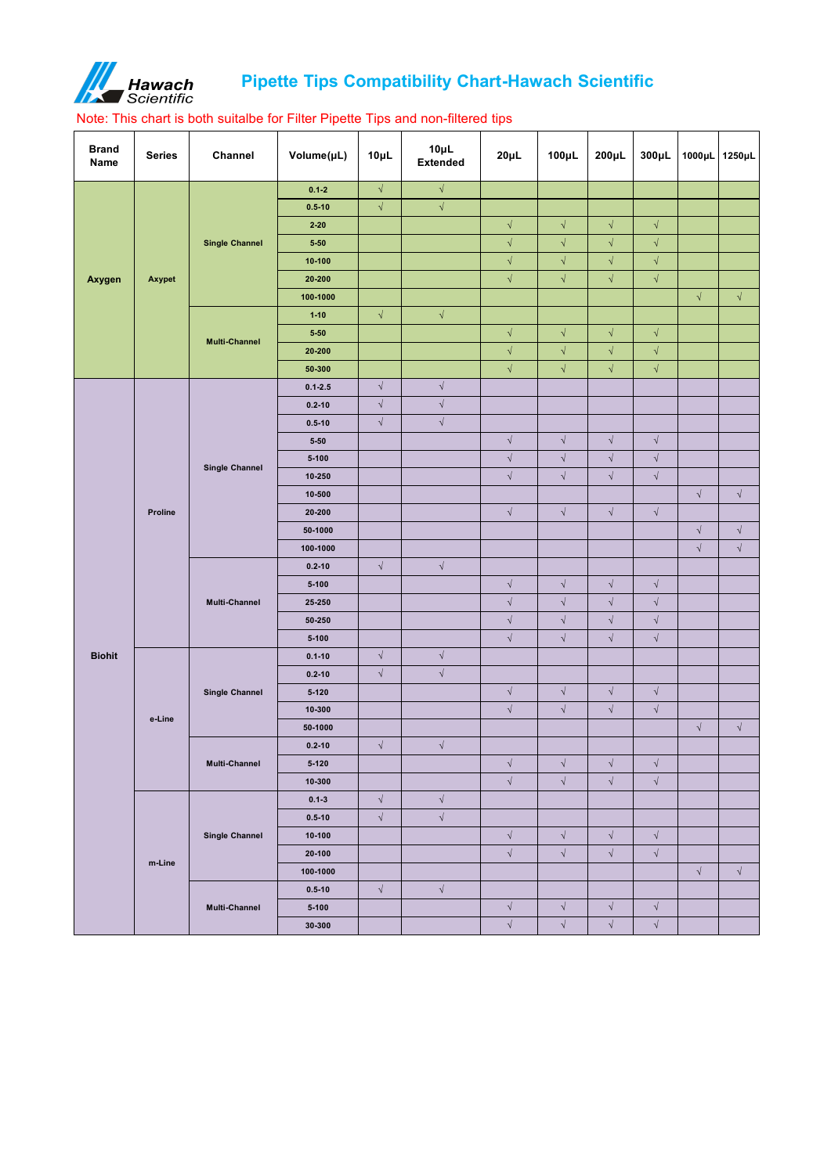

## **Pipette Tips Compatibility Chart-Hawach Scientific**

## Note: This chart is both suitalbe for Filter Pipette Tips and non-filtered tips

| <b>Brand</b><br><b>Name</b> | <b>Series</b>  | <b>Channel</b>        | Volume(µL)  | $10\mu L$  | $10\mu L$<br><b>Extended</b> | $20\mu L$  | $100 \mu L$ | $200 \mu L$          | $300\mu L$ | 1000µL 1250µL |            |
|-----------------------------|----------------|-----------------------|-------------|------------|------------------------------|------------|-------------|----------------------|------------|---------------|------------|
|                             |                |                       | $0.1 - 2$   | $\sqrt{ }$ | $\sqrt{ }$                   |            |             |                      |            |               |            |
|                             |                |                       | $0.5 - 10$  | $\sqrt{}$  | $\sqrt{ }$                   |            |             |                      |            |               |            |
|                             |                |                       | $2 - 20$    |            |                              | $\sqrt{2}$ | $\sqrt{ }$  | $\sqrt{ }$           | $\sqrt{ }$ |               |            |
|                             |                | <b>Single Channel</b> | $5 - 50$    |            |                              | $\sqrt{ }$ | $\sqrt{ }$  | $\sqrt{}$            | $\sqrt{ }$ |               |            |
|                             |                |                       | $10 - 100$  |            |                              | $\sqrt{ }$ | $\sqrt{ }$  | $\sqrt{2}$           | $\sqrt{ }$ |               |            |
| Axygen                      | Axypet         |                       | 20-200      |            |                              | $\sqrt{ }$ | $\sqrt{ }$  | $\sqrt{2}$           | $\sqrt{ }$ |               |            |
|                             |                |                       | 100-1000    |            |                              |            |             |                      |            | $\sqrt{ }$    | $\sqrt{ }$ |
|                             |                |                       | $1 - 10$    | $\sqrt{ }$ | $\sqrt{ }$                   |            |             |                      |            |               |            |
|                             |                | <b>Multi-Channel</b>  | $5 - 50$    |            |                              | $\sqrt{ }$ | $\sqrt{ }$  | $\sqrt{2}$           | $\sqrt{2}$ |               |            |
|                             |                |                       | 20-200      |            |                              | $\sqrt{ }$ | $\sqrt{2}$  | $\sqrt{}$            | $\sqrt{2}$ |               |            |
|                             |                |                       | 50-300      |            |                              | $\sqrt{ }$ | $\sqrt{2}$  | $\sqrt{2}$           | $\sqrt{2}$ |               |            |
|                             |                |                       | $0.1 - 2.5$ | $\sqrt{ }$ | $\sqrt{ }$                   |            |             |                      |            |               |            |
|                             |                |                       | $0.2 - 10$  | $\sqrt{ }$ | $\sqrt{ }$                   |            |             |                      |            |               |            |
|                             | <b>Proline</b> | <b>Single Channel</b> | $0.5 - 10$  | $\sqrt{}$  | $\sqrt{ }$                   |            |             |                      |            |               |            |
|                             |                |                       | $5 - 50$    |            |                              | $\sqrt{ }$ | $\sqrt{2}$  | $\sqrt{}$            | $\sqrt{2}$ |               |            |
|                             |                |                       | $5 - 100$   |            |                              | $\sqrt{ }$ | $\sqrt{}$   | $\sqrt{}$            | $\sqrt{2}$ |               |            |
|                             |                |                       | $10 - 250$  |            |                              | $\sqrt{ }$ | $\sqrt{ }$  | $\sqrt{}$            | $\sqrt{2}$ |               |            |
|                             |                |                       | 10-500      |            |                              |            |             |                      |            | $\sqrt{2}$    | $\sqrt{ }$ |
|                             |                |                       | 20-200      |            |                              | $\sqrt{ }$ | $\sqrt{ }$  | $\sqrt{ }$           | $\sqrt{ }$ |               |            |
|                             |                |                       | 50-1000     |            |                              |            |             |                      |            | $\sqrt{ }$    | $\sqrt{ }$ |
|                             |                |                       | 100-1000    |            |                              |            |             |                      |            | $\sqrt{ }$    | $\sqrt{ }$ |
|                             |                | <b>Multi-Channel</b>  | $0.2 - 10$  | $\sqrt{ }$ | $\sqrt{ }$                   |            |             |                      |            |               |            |
|                             |                |                       | $5-100$     |            |                              | $\sqrt{ }$ | $\sqrt{ }$  | $\sqrt{}$            | $\sqrt{2}$ |               |            |
|                             |                |                       | 25-250      |            |                              | $\sqrt{ }$ | $\sqrt{ }$  | $\sqrt{2}$           | $\sqrt{2}$ |               |            |
|                             |                |                       | 50-250      |            |                              | $\sqrt{ }$ | $\sqrt{2}$  | $\sqrt{2}$           | $\sqrt{2}$ |               |            |
|                             |                |                       | $5-100$     |            |                              | $\sqrt{ }$ | $\sqrt{2}$  | $\sqrt{ }$           | $\sqrt{2}$ |               |            |
| <b>Biohit</b>               |                | <b>Single Channel</b> | $0.1 - 10$  | $\sqrt{2}$ | $\sqrt{ }$                   |            |             |                      |            |               |            |
|                             |                |                       | $0.2 - 10$  | $\sqrt{ }$ | $\sqrt{ }$                   |            |             |                      |            |               |            |
|                             |                |                       | $5-120$     |            |                              | $\sqrt{ }$ | $\sqrt{ }$  | $\sqrt{ }$           | $\sqrt{ }$ |               |            |
|                             | e-Line         |                       | $10 - 300$  |            |                              | $\sqrt{ }$ | $\sqrt{ }$  | $\sqrt{}$            | $\sqrt{ }$ |               |            |
|                             |                |                       | 50-1000     |            |                              |            |             |                      |            | $\sqrt{ }$    | $\sqrt{ }$ |
|                             |                | <b>Multi-Channel</b>  | $0.2 - 10$  | $\sqrt{ }$ | $\sqrt{ }$                   |            |             |                      |            |               |            |
|                             |                |                       | $5-120$     |            |                              | $\sqrt{ }$ | $\sqrt{ }$  | $\sqrt{2}$           | $\sqrt{ }$ |               |            |
|                             |                |                       | $10 - 300$  |            |                              | $\sqrt{ }$ | $\sqrt{ }$  | $\sqrt{ }$           | $\sqrt{2}$ |               |            |
|                             |                |                       | $0.1 - 3$   | $\sqrt{2}$ | $\sqrt{ }$                   |            |             |                      |            |               |            |
|                             |                |                       | $0.5 - 10$  | $\sqrt{2}$ | $\sqrt{ }$                   |            |             |                      |            |               |            |
|                             |                | <b>Single Channel</b> | $10 - 100$  |            |                              | $\sqrt{ }$ | $\sqrt{ }$  | $\sqrt{}$            | $\sqrt{2}$ |               |            |
|                             | m-Line         |                       | $20 - 100$  |            |                              | $\sqrt{ }$ | $\sqrt{ }$  | $\sqrt{}$            | $\sqrt{2}$ |               |            |
|                             |                |                       | 100-1000    |            |                              |            |             |                      |            | $\sqrt{ }$    | $\sqrt{ }$ |
|                             |                |                       | $0.5 - 10$  | $\sqrt{2}$ | $\sqrt{ }$                   |            |             |                      |            |               |            |
|                             |                | <b>Multi-Channel</b>  | $5-100$     |            |                              | $\sqrt{ }$ | $\sqrt{ }$  | $\sqrt{}$            | $\sqrt{2}$ |               |            |
|                             |                |                       | 30-300      |            |                              | $\sqrt{ }$ | $\sqrt{2}$  | $\sqrt{\phantom{a}}$ | $\sqrt{2}$ |               |            |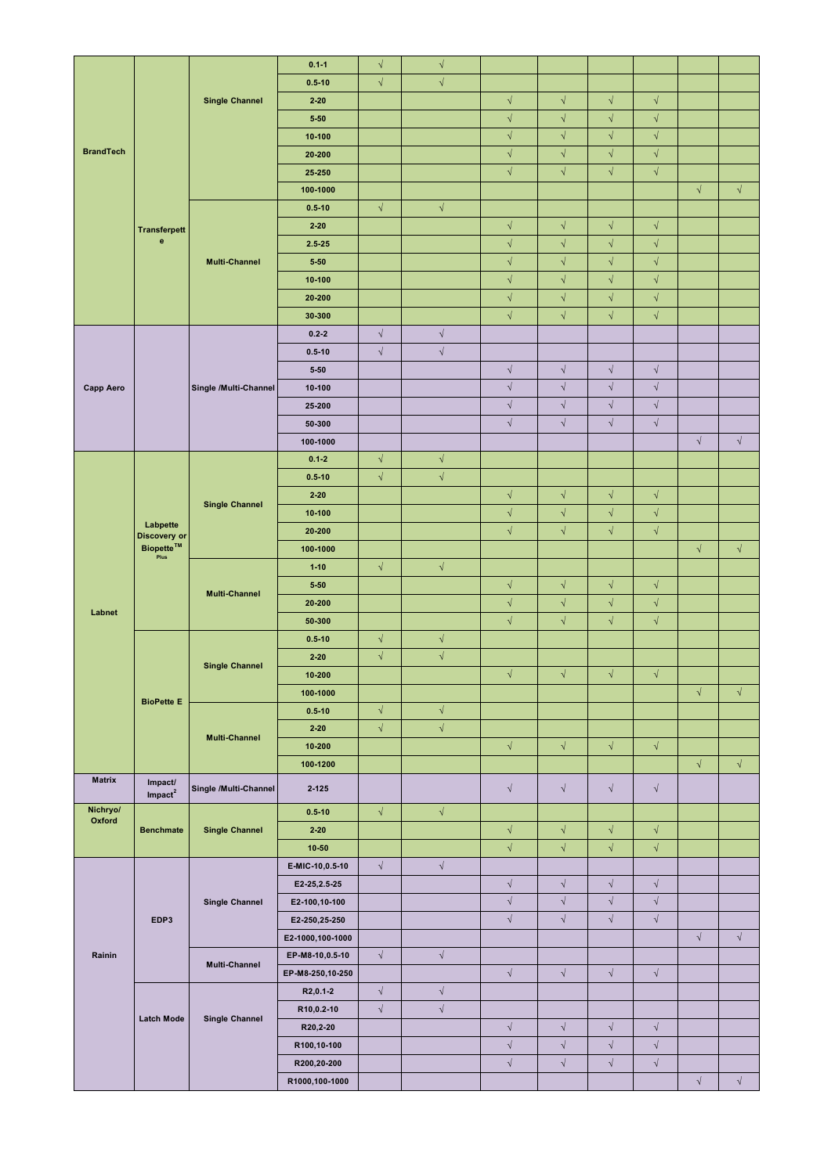|                  |                                                                            |                       | $0.1 - 1$        | $\sqrt{ }$ | $\sqrt{}$  |                      |                      |            |                      |            |            |
|------------------|----------------------------------------------------------------------------|-----------------------|------------------|------------|------------|----------------------|----------------------|------------|----------------------|------------|------------|
|                  |                                                                            |                       | $0.5 - 10$       | $\sqrt{ }$ | $\sqrt{ }$ |                      |                      |            |                      |            |            |
|                  |                                                                            | <b>Single Channel</b> | $2 - 20$         |            |            | $\sqrt{ }$           | $\sqrt{ }$           | $\sqrt{2}$ | $\sqrt{ }$           |            |            |
|                  |                                                                            |                       | $5 - 50$         |            |            | $\sqrt{ }$           | $\sqrt{ }$           | $\sqrt{ }$ | $\sqrt{ }$           |            |            |
|                  |                                                                            |                       | $10 - 100$       |            |            | $\sqrt{ }$           | $\sqrt{ }$           | $\sqrt{2}$ | $\sqrt{ }$           |            |            |
| <b>BrandTech</b> |                                                                            |                       | 20-200           |            |            | $\sqrt{ }$           | $\sqrt{ }$           | $\sqrt{2}$ | $\sqrt{ }$           |            |            |
|                  |                                                                            |                       | 25-250           |            |            | $\sqrt{ }$           | $\sqrt{ }$           | $\sqrt{2}$ | $\sqrt{ }$           |            |            |
|                  |                                                                            |                       |                  |            |            |                      |                      |            |                      |            |            |
|                  |                                                                            |                       | 100-1000         |            |            |                      |                      |            |                      | $\sqrt{}$  | $\sqrt{ }$ |
|                  |                                                                            |                       | $0.5 - 10$       | $\sqrt{ }$ | $\sqrt{ }$ |                      |                      |            |                      |            |            |
|                  | <b>Transferpett</b>                                                        |                       | $2 - 20$         |            |            | $\sqrt{ }$           | $\sqrt{ }$           | $\sqrt{}$  | $\sqrt{ }$           |            |            |
|                  | $\mathbf{e}$                                                               |                       | $2.5 - 25$       |            |            | $\sqrt{ }$           | $\sqrt{ }$           | $\sqrt{2}$ | $\sqrt{ }$           |            |            |
|                  |                                                                            | <b>Multi-Channel</b>  | $5 - 50$         |            |            | $\sqrt{ }$           | $\sqrt{ }$           | $\sqrt{2}$ | $\sqrt{ }$           |            |            |
|                  |                                                                            |                       | $10 - 100$       |            |            | $\sqrt{ }$           | $\sqrt{ }$           | $\sqrt{2}$ | $\sqrt{ }$           |            |            |
|                  |                                                                            |                       | 20-200           |            |            | $\sqrt{ }$           | $\sqrt{ }$           | $\sqrt{2}$ | $\sqrt{ }$           |            |            |
|                  |                                                                            |                       | 30-300           |            |            | $\sqrt{ }$           | $\sqrt{ }$           | $\sqrt{2}$ | $\sqrt{ }$           |            |            |
|                  |                                                                            |                       |                  |            |            |                      |                      |            |                      |            |            |
|                  |                                                                            |                       | $0.2 - 2$        | $\sqrt{ }$ | $\sqrt{ }$ |                      |                      |            |                      |            |            |
|                  |                                                                            |                       | $0.5 - 10$       | $\sqrt{ }$ | $\sqrt{}$  |                      |                      |            |                      |            |            |
|                  |                                                                            |                       | $5 - 50$         |            |            | $\sqrt{}$            | $\sqrt{}$            | $\sqrt{2}$ | $\sqrt{ }$           |            |            |
| <b>Capp Aero</b> |                                                                            | Single /Multi-Channel | 10-100           |            |            | $\sqrt{}$            | $\sqrt{}$            | $\sqrt{2}$ | $\sqrt{ }$           |            |            |
|                  |                                                                            |                       | 25-200           |            |            | $\sqrt{\phantom{a}}$ | $\sqrt{ }$           | $\sqrt{ }$ | $\sqrt{ }$           |            |            |
|                  |                                                                            |                       | 50-300           |            |            | $\sqrt{\phantom{a}}$ | $\sqrt{ }$           | $\sqrt{ }$ | $\sqrt{ }$           |            |            |
|                  |                                                                            |                       | 100-1000         |            |            |                      |                      |            |                      | $\sqrt{ }$ | $\sqrt{}$  |
|                  |                                                                            |                       | $0.1 - 2$        | $\sqrt{ }$ | $\sqrt{ }$ |                      |                      |            |                      |            |            |
|                  |                                                                            |                       | $0.5 - 10$       | $\sqrt{ }$ | $\sqrt{}$  |                      |                      |            |                      |            |            |
|                  |                                                                            |                       | $2 - 20$         |            |            | $\sqrt{ }$           | $\sqrt{ }$           | $\sqrt{}$  | $\sqrt{ }$           |            |            |
|                  |                                                                            | <b>Single Channel</b> |                  |            |            | $\sqrt{ }$           | $\sqrt{ }$           | $\sqrt{2}$ | $\sqrt{ }$           |            |            |
|                  | Labpette<br><b>Discovery or</b><br><b>Biopette™</b><br>-<br>Plus           |                       | $10 - 100$       |            |            |                      |                      |            |                      |            |            |
|                  |                                                                            |                       | 20-200           |            |            | $\sqrt{ }$           | $\sqrt{ }$           | $\sqrt{2}$ | $\sqrt{ }$           |            |            |
|                  |                                                                            |                       | 100-1000         |            |            |                      |                      |            |                      | $\sqrt{}$  | $\sqrt{}$  |
|                  |                                                                            | <b>Multi-Channel</b>  | $1 - 10$         | $\sqrt{ }$ | $\sqrt{2}$ |                      |                      |            |                      |            |            |
|                  |                                                                            |                       | $5 - 50$         |            |            | $\sqrt{ }$           | $\sqrt{ }$           | $\sqrt{2}$ | $\sqrt{ }$           |            |            |
|                  |                                                                            |                       | 20-200           |            |            | $\sqrt{ }$           | $\sqrt{ }$           | $\sqrt{2}$ | $\sqrt{ }$           |            |            |
| Labnet           |                                                                            |                       | 50-300           |            |            | $\sqrt{ }$           | $\sqrt{ }$           | $\sqrt{2}$ | $\sqrt{ }$           |            |            |
|                  |                                                                            |                       | $0.5 - 10$       | $\sqrt{ }$ | $\sqrt{}$  |                      |                      |            |                      |            |            |
|                  |                                                                            |                       | $2 - 20$         | $\sqrt{ }$ | $\sqrt{ }$ |                      |                      |            |                      |            |            |
|                  |                                                                            | <b>Single Channel</b> | $10 - 200$       |            |            | $\sqrt{ }$           | $\sqrt{ }$           | $\sqrt{2}$ | $\sqrt{ }$           |            |            |
|                  |                                                                            |                       | 100-1000         |            |            |                      |                      |            |                      | $\sqrt{ }$ | $\sqrt{ }$ |
|                  | <b>BioPette E</b>                                                          |                       |                  |            |            |                      |                      |            |                      |            |            |
|                  |                                                                            | <b>Multi-Channel</b>  | $0.5 - 10$       | $\sqrt{ }$ | $\sqrt{ }$ |                      |                      |            |                      |            |            |
|                  |                                                                            |                       | $2 - 20$         | $\sqrt{ }$ | $\sqrt{}$  |                      |                      |            |                      |            |            |
|                  |                                                                            |                       | $10 - 200$       |            |            | $\sqrt{ }$           | $\sqrt{ }$           | $\sqrt{2}$ | $\sqrt{ }$           |            |            |
|                  |                                                                            |                       | 100-1200         |            |            |                      |                      |            |                      | $\sqrt{}$  | $\sqrt{ }$ |
| <b>Matrix</b>    | Impact/<br>$\text{Im} \ensuremath{\mathsf{p}} \ensuremath{\mathsf{act}}^2$ | Single /Multi-Channel | $2 - 125$        |            |            | $\sqrt{ }$           | $\sqrt{ }$           | $\sqrt{ }$ | $\sqrt{ }$           |            |            |
| Nichryo/         |                                                                            |                       | $0.5 - 10$       | $\sqrt{ }$ | $\sqrt{ }$ |                      |                      |            |                      |            |            |
| Oxford           | <b>Benchmate</b>                                                           | <b>Single Channel</b> | $2 - 20$         |            |            | $\sqrt{ }$           | $\sqrt{ }$           | $\sqrt{2}$ | $\sqrt{ }$           |            |            |
|                  |                                                                            |                       | $10 - 50$        |            |            | $\sqrt{ }$           | $\sqrt{ }$           | $\sqrt{2}$ | $\sqrt{ }$           |            |            |
|                  |                                                                            |                       | E-MIC-10,0.5-10  | $\sqrt{ }$ | $\sqrt{ }$ |                      |                      |            |                      |            |            |
|                  |                                                                            | <b>Single Channel</b> | E2-25, 2.5-25    |            |            | $\sqrt{ }$           | $\sqrt{ }$           | $\sqrt{2}$ | $\sqrt{ }$           |            |            |
|                  |                                                                            |                       |                  |            |            |                      |                      |            |                      |            |            |
|                  |                                                                            |                       | E2-100,10-100    |            |            | $\sqrt{}$            | $\sqrt{ }$           | $\sqrt{ }$ | $\sqrt{ }$           |            |            |
|                  | EDP3                                                                       |                       | E2-250,25-250    |            |            | $\sqrt{ }$           | $\sqrt{ }$           | $\sqrt{ }$ | $\sqrt{ }$           |            |            |
|                  |                                                                            |                       | E2-1000,100-1000 |            |            |                      |                      |            |                      |            | $\sqrt{ }$ |
| Rainin           |                                                                            | <b>Multi-Channel</b>  | EP-M8-10,0.5-10  | $\sqrt{ }$ | $\sqrt{ }$ |                      |                      |            |                      |            |            |
|                  |                                                                            |                       | EP-M8-250,10-250 |            |            | $\sqrt{ }$           | $\sqrt{ }$           | $\sqrt{2}$ | $\sqrt{ }$           |            |            |
|                  |                                                                            |                       | R2,0.1-2         | $\sqrt{ }$ | $\sqrt{}$  |                      |                      |            |                      |            |            |
|                  |                                                                            |                       | R10,0.2-10       | $\sqrt{ }$ | $\sqrt{}$  |                      |                      |            |                      |            |            |
|                  | <b>Latch Mode</b>                                                          | <b>Single Channel</b> | R20,2-20         |            |            | $\sqrt{}$            | $\sqrt{\phantom{a}}$ | $\sqrt{}$  | $\sqrt{\phantom{a}}$ |            |            |
|                  |                                                                            |                       | R100,10-100      |            |            | $\sqrt{\phantom{a}}$ | $\sqrt{}$            | $\sqrt{}$  | $\sqrt{ }$           |            |            |
|                  |                                                                            |                       | R200,20-200      |            |            | $\sqrt{\phantom{a}}$ | $\sqrt{\phantom{a}}$ | $\sqrt{}$  | $\sqrt{}$            |            |            |
|                  |                                                                            |                       | R1000,100-1000   |            |            |                      |                      |            |                      | $\sqrt{ }$ | $\sqrt{2}$ |
|                  |                                                                            |                       |                  |            |            |                      |                      |            |                      |            |            |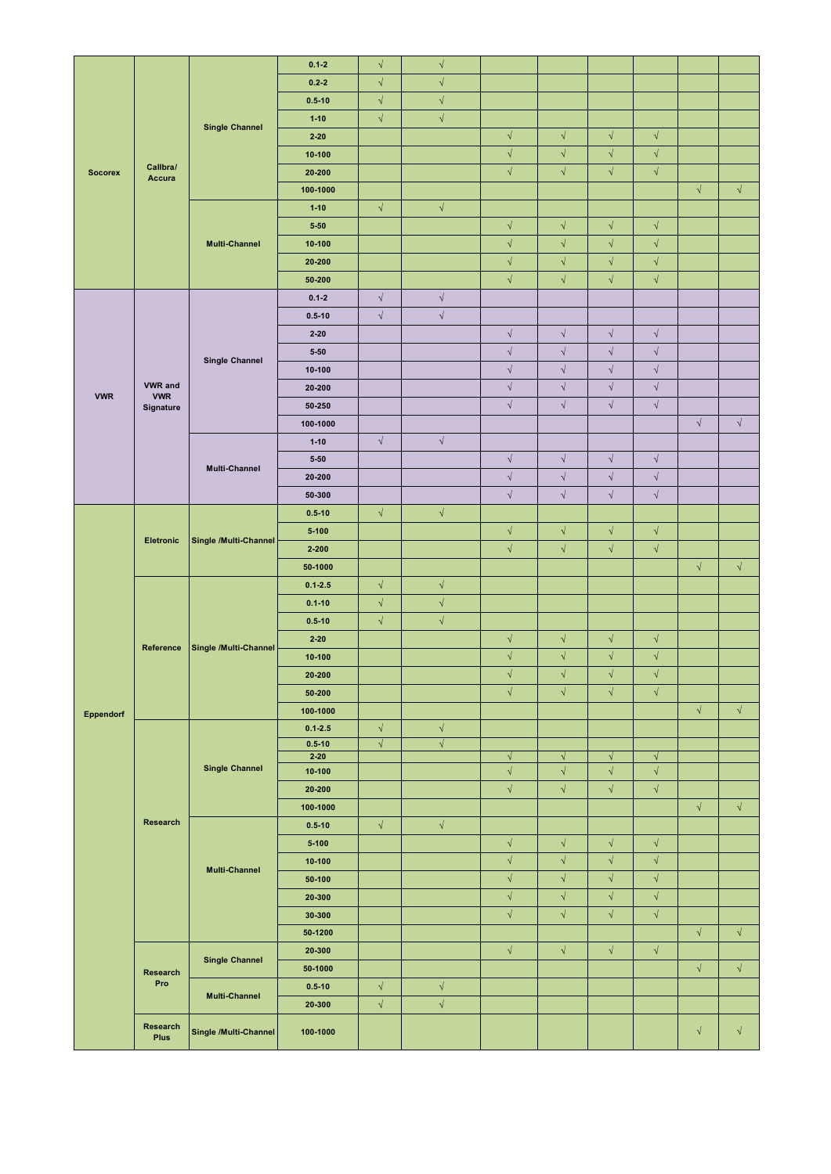|                  |                                                  |                       | $0.1 - 2$            | $\sqrt{ }$ | $\sqrt{ }$ |                          |                          |                          |                          |            |            |
|------------------|--------------------------------------------------|-----------------------|----------------------|------------|------------|--------------------------|--------------------------|--------------------------|--------------------------|------------|------------|
|                  |                                                  |                       | $0.2 - 2$            | $\sqrt{ }$ | $\sqrt{ }$ |                          |                          |                          |                          |            |            |
|                  |                                                  |                       | $0.5 - 10$           | $\sqrt{ }$ | $\sqrt{ }$ |                          |                          |                          |                          |            |            |
|                  |                                                  |                       | $1 - 10$             | $\sqrt{}$  | $\sqrt{ }$ |                          |                          |                          |                          |            |            |
|                  |                                                  | <b>Single Channel</b> | $2 - 20$             |            |            | $\sqrt{ }$               | $\sqrt{ }$               | $\sqrt{}$                | $\sqrt{ }$               |            |            |
|                  |                                                  |                       | $10 - 100$           |            |            | $\sqrt{}$                | $\sqrt{ }$               | $\sqrt{}$                | $\sqrt{ }$               |            |            |
| <b>Socorex</b>   | Callbra/                                         |                       | 20-200               |            |            | $\sqrt{ }$               | $\sqrt{}$                | $\sqrt{2}$               | $\sqrt{ }$               |            |            |
|                  | <b>Accura</b>                                    |                       | 100-1000             |            |            |                          |                          |                          |                          | $\sqrt{ }$ | $\sqrt{ }$ |
|                  |                                                  |                       | $1-10$               | $\sqrt{ }$ | $\sqrt{ }$ |                          |                          |                          |                          |            |            |
|                  |                                                  |                       | $5 - 50$             |            |            | $\sqrt{ }$               | $\sqrt{ }$               | $\sqrt{2}$               | $\sqrt{ }$               |            |            |
|                  |                                                  | <b>Multi-Channel</b>  | $10 - 100$           |            |            | $\sqrt{ }$               | $\sqrt{ }$               | $\sqrt{}$                | $\sqrt{ }$               |            |            |
|                  |                                                  |                       | 20-200               |            |            | $\sqrt{ }$               | $\sqrt{ }$               | $\sqrt{ }$               | $\sqrt{ }$               |            |            |
|                  |                                                  |                       |                      |            |            | $\sqrt{ }$               | $\sqrt{ }$               | $\sqrt{ }$               | $\sqrt{ }$               |            |            |
|                  |                                                  |                       | 50-200               |            |            |                          |                          |                          |                          |            |            |
|                  |                                                  |                       | $0.1 - 2$            | $\sqrt{}$  | $\sqrt{}$  |                          |                          |                          |                          |            |            |
|                  |                                                  |                       | $0.5 - 10$           | $\sqrt{}$  | $\sqrt{}$  |                          |                          |                          |                          |            |            |
|                  |                                                  |                       | $2 - 20$             |            |            | $\sqrt{ }$               | $\sqrt{ }$               | $\sqrt{2}$               | $\sqrt{ }$               |            |            |
|                  |                                                  | <b>Single Channel</b> | $5 - 50$             |            |            | $\sqrt{ }$               | $\sqrt{ }$               | $\sqrt{ }$               | $\sqrt{ }$               |            |            |
|                  |                                                  |                       | $10 - 100$           |            |            | $\sqrt{ }$               | $\sqrt{ }$               | $\sqrt{ }$               | $\sqrt{ }$               |            |            |
| <b>VWR</b>       | <b>VWR</b> and<br><b>VWR</b><br><b>Signature</b> |                       | 20-200               |            |            | $\sqrt{ }$               | $\sqrt{}$                | $\sqrt{ }$               | $\sqrt{ }$               |            |            |
|                  |                                                  |                       | 50-250               |            |            | $\sqrt{ }$               | $\sqrt{}$                | $\sqrt{2}$               | $\sqrt{ }$               |            |            |
|                  |                                                  |                       | 100-1000             |            |            |                          |                          |                          |                          | $\sqrt{ }$ | $\sqrt{}$  |
|                  |                                                  | <b>Multi-Channel</b>  | $1 - 10$             | $\sqrt{ }$ | $\sqrt{ }$ |                          |                          |                          |                          |            |            |
|                  |                                                  |                       | $5 - 50$             |            |            | $\sqrt{ }$               | $\sqrt{ }$               | $\sqrt{ }$               | $\sqrt{ }$               |            |            |
|                  |                                                  |                       | $20 - 200$           |            |            | $\sqrt{\phantom{a}}$     | $\sqrt{ }$               | $\sqrt{}$                | $\sqrt{ }$               |            |            |
|                  |                                                  |                       | 50-300               |            |            | $\sqrt{ }$               | $\sqrt{ }$               | $\sqrt{}$                | $\sqrt{}$                |            |            |
|                  |                                                  |                       | $0.5 - 10$           | $\sqrt{2}$ | $\sqrt{ }$ |                          |                          |                          |                          |            |            |
|                  |                                                  |                       | $5 - 100$            |            |            | $\sqrt{ }$               | $\sqrt{ }$               | $\sqrt{ }$               | $\sqrt{ }$               |            |            |
|                  | <b>Eletronic</b>                                 | Single /Multi-Channel | $2 - 200$            |            |            | $\sqrt{ }$               | $\sqrt{ }$               | $\sqrt{}$                | $\sqrt{ }$               |            |            |
|                  |                                                  |                       | 50-1000              |            |            |                          |                          |                          |                          | $\sqrt{ }$ | $\sqrt{ }$ |
|                  |                                                  |                       | $0.1 - 2.5$          | $\sqrt{ }$ | $\sqrt{ }$ |                          |                          |                          |                          |            |            |
|                  |                                                  |                       | $0.1 - 10$           | $\sqrt{ }$ | $\sqrt{ }$ |                          |                          |                          |                          |            |            |
|                  |                                                  |                       |                      |            |            |                          |                          |                          |                          |            |            |
|                  |                                                  |                       | $0.5 - 10$           | $\sqrt{ }$ | $\sqrt{}$  |                          |                          |                          |                          |            |            |
|                  | Reference                                        | Single /Multi-Channel | $2 - 20$             |            |            | $\sqrt{ }$               | $\sqrt{ }$               | $\sqrt{ }$               | $\sqrt{ }$               |            |            |
|                  |                                                  |                       | $10 - 100$           |            |            | $\sqrt{ }$               | $\sqrt{}$                | $\sqrt{2}$               | $\sqrt{ }$               |            |            |
|                  |                                                  |                       | 20-200               |            |            | $\sqrt{ }$               | $\sqrt{ }$               | $\sqrt{2}$               | $\sqrt{ }$               |            |            |
|                  |                                                  |                       | 50-200               |            |            | $\sqrt{ }$               | $\sqrt{ }$               | $\sqrt{2}$               | $\sqrt{ }$               |            |            |
| <b>Eppendorf</b> |                                                  |                       | 100-1000             |            |            |                          |                          |                          |                          | $\sqrt{ }$ | $\sqrt{ }$ |
|                  |                                                  | <b>Single Channel</b> | $0.1 - 2.5$          | $\sqrt{ }$ | $\sqrt{ }$ |                          |                          |                          |                          |            |            |
|                  |                                                  |                       | $0.5 - 10$<br>$2-20$ | $\sqrt{ }$ | $\sqrt{ }$ |                          |                          |                          |                          |            |            |
|                  |                                                  |                       | $10 - 100$           |            |            | $\sqrt{ }$<br>$\sqrt{ }$ | $\sqrt{ }$<br>$\sqrt{ }$ | $\sqrt{ }$<br>$\sqrt{ }$ | $\sqrt{ }$<br>$\sqrt{ }$ |            |            |
|                  |                                                  |                       | $20 - 200$           |            |            | $\sqrt{ }$               | $\sqrt{ }$               | $\sqrt{ }$               | $\sqrt{ }$               |            |            |
|                  |                                                  |                       | 100-1000             |            |            |                          |                          |                          |                          | $\sqrt{ }$ | $\sqrt{ }$ |
|                  | <b>Research</b>                                  | <b>Multi-Channel</b>  | $0.5 - 10$           | $\sqrt{2}$ | $\sqrt{ }$ |                          |                          |                          |                          |            |            |
|                  |                                                  |                       |                      |            |            | $\sqrt{ }$               | $\sqrt{ }$               | $\sqrt{}$                | $\sqrt{ }$               |            |            |
|                  |                                                  |                       | $5 - 100$            |            |            |                          |                          |                          |                          |            |            |
|                  |                                                  |                       | $10 - 100$           |            |            | $\sqrt{}$                | $\sqrt{ }$               | $\sqrt{2}$               | $\sqrt{ }$               |            |            |
|                  |                                                  |                       | $50 - 100$           |            |            | $\sqrt{ }$               | $\sqrt{ }$               | $\sqrt{2}$               | $\sqrt{ }$               |            |            |
|                  |                                                  |                       | 20-300               |            |            | $\sqrt{ }$               | $\sqrt{ }$               | $\sqrt{2}$               | $\sqrt{ }$               |            |            |
|                  |                                                  |                       | 30-300               |            |            | $\sqrt{}$                | $\sqrt{ }$               | $\sqrt{2}$               | $\sqrt{ }$               |            |            |
|                  |                                                  |                       | 50-1200              |            |            |                          |                          |                          |                          | $\sqrt{}$  | $\sqrt{2}$ |
|                  |                                                  | <b>Single Channel</b> | 20-300               |            |            | $\sqrt{ }$               | $\sqrt{ }$               | $\sqrt{ }$               | $\sqrt{ }$               |            |            |
|                  | <b>Research</b>                                  |                       | 50-1000              |            |            |                          |                          |                          |                          | $\sqrt{ }$ | $\sqrt{ }$ |
|                  | Pro                                              |                       | $0.5 - 10$           | $\sqrt{2}$ | $\sqrt{ }$ |                          |                          |                          |                          |            |            |
|                  |                                                  | <b>Multi-Channel</b>  | 20-300               | $\sqrt{2}$ | $\sqrt{}$  |                          |                          |                          |                          |            |            |
|                  | Research<br>Plus                                 | Single /Multi-Channel | 100-1000             |            |            |                          |                          |                          |                          | $\sqrt{ }$ | $\sqrt{}$  |